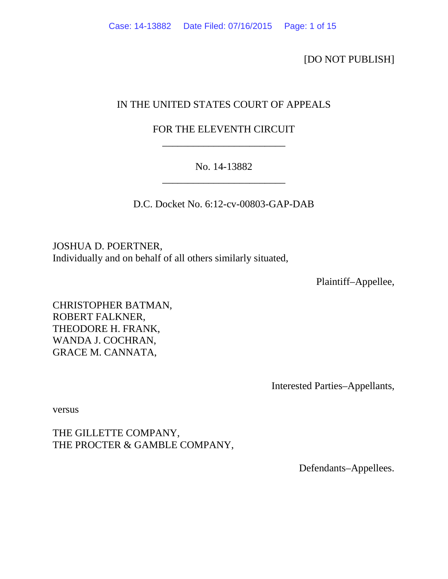[DO NOT PUBLISH]

## IN THE UNITED STATES COURT OF APPEALS

# FOR THE ELEVENTH CIRCUIT \_\_\_\_\_\_\_\_\_\_\_\_\_\_\_\_\_\_\_\_\_\_\_\_

# No. 14-13882 \_\_\_\_\_\_\_\_\_\_\_\_\_\_\_\_\_\_\_\_\_\_\_\_

D.C. Docket No. 6:12-cv-00803-GAP-DAB

JOSHUA D. POERTNER, Individually and on behalf of all others similarly situated,

Plaintiff–Appellee,

CHRISTOPHER BATMAN, ROBERT FALKNER, THEODORE H. FRANK, WANDA J. COCHRAN, GRACE M. CANNATA,

Interested Parties–Appellants,

versus

THE GILLETTE COMPANY, THE PROCTER & GAMBLE COMPANY,

Defendants–Appellees.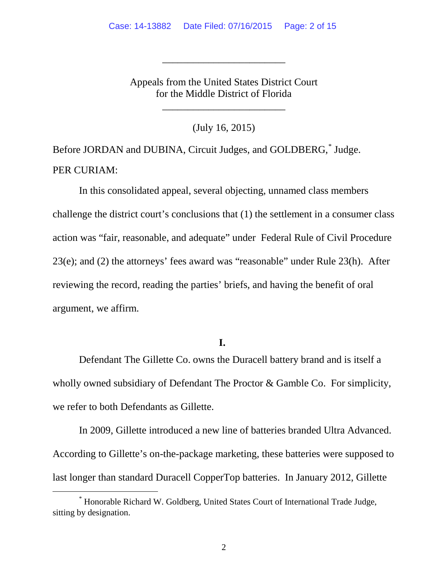Appeals from the United States District Court for the Middle District of Florida

\_\_\_\_\_\_\_\_\_\_\_\_\_\_\_\_\_\_\_\_\_\_\_\_

\_\_\_\_\_\_\_\_\_\_\_\_\_\_\_\_\_\_\_\_\_\_\_\_

(July 16, 2015)

Before JORDAN and DUBINA, Circuit Judges, and GOLDBERG,[\\*](#page-1-0) Judge. PER CURIAM:

In this consolidated appeal, several objecting, unnamed class members challenge the district court's conclusions that (1) the settlement in a consumer class action was "fair, reasonable, and adequate" under Federal Rule of Civil Procedure 23(e); and (2) the attorneys' fees award was "reasonable" under Rule 23(h). After reviewing the record, reading the parties' briefs, and having the benefit of oral argument, we affirm.

## **I.**

Defendant The Gillette Co. owns the Duracell battery brand and is itself a wholly owned subsidiary of Defendant The Proctor & Gamble Co. For simplicity, we refer to both Defendants as Gillette.

In 2009, Gillette introduced a new line of batteries branded Ultra Advanced. According to Gillette's on-the-package marketing, these batteries were supposed to last longer than standard Duracell CopperTop batteries. In January 2012, Gillette

<span id="page-1-0"></span> <sup>\*</sup> Honorable Richard W. Goldberg, United States Court of International Trade Judge, sitting by designation.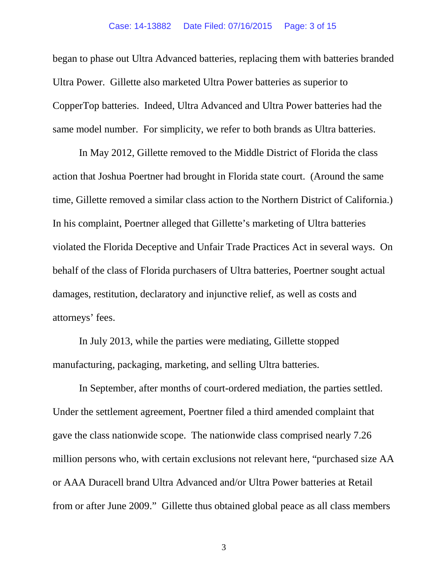began to phase out Ultra Advanced batteries, replacing them with batteries branded Ultra Power. Gillette also marketed Ultra Power batteries as superior to CopperTop batteries. Indeed, Ultra Advanced and Ultra Power batteries had the same model number. For simplicity, we refer to both brands as Ultra batteries.

In May 2012, Gillette removed to the Middle District of Florida the class action that Joshua Poertner had brought in Florida state court. (Around the same time, Gillette removed a similar class action to the Northern District of California.) In his complaint, Poertner alleged that Gillette's marketing of Ultra batteries violated the Florida Deceptive and Unfair Trade Practices Act in several ways. On behalf of the class of Florida purchasers of Ultra batteries, Poertner sought actual damages, restitution, declaratory and injunctive relief, as well as costs and attorneys' fees.

In July 2013, while the parties were mediating, Gillette stopped manufacturing, packaging, marketing, and selling Ultra batteries.

In September, after months of court-ordered mediation, the parties settled. Under the settlement agreement, Poertner filed a third amended complaint that gave the class nationwide scope. The nationwide class comprised nearly 7.26 million persons who, with certain exclusions not relevant here, "purchased size AA or AAA Duracell brand Ultra Advanced and/or Ultra Power batteries at Retail from or after June 2009." Gillette thus obtained global peace as all class members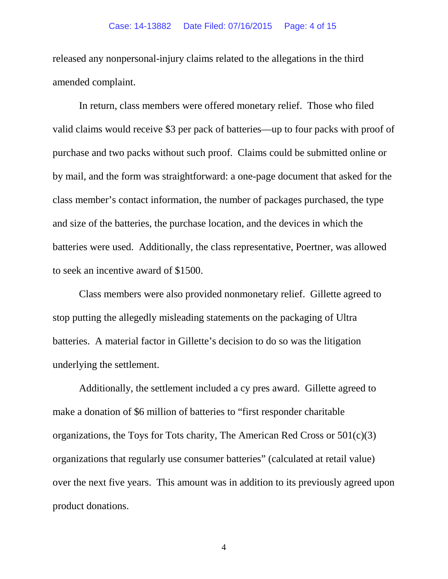released any nonpersonal-injury claims related to the allegations in the third amended complaint.

In return, class members were offered monetary relief. Those who filed valid claims would receive \$3 per pack of batteries—up to four packs with proof of purchase and two packs without such proof. Claims could be submitted online or by mail, and the form was straightforward: a one-page document that asked for the class member's contact information, the number of packages purchased, the type and size of the batteries, the purchase location, and the devices in which the batteries were used. Additionally, the class representative, Poertner, was allowed to seek an incentive award of \$1500.

Class members were also provided nonmonetary relief. Gillette agreed to stop putting the allegedly misleading statements on the packaging of Ultra batteries. A material factor in Gillette's decision to do so was the litigation underlying the settlement.

Additionally, the settlement included a cy pres award. Gillette agreed to make a donation of \$6 million of batteries to "first responder charitable organizations, the Toys for Tots charity, The American Red Cross or  $501(c)(3)$ organizations that regularly use consumer batteries" (calculated at retail value) over the next five years. This amount was in addition to its previously agreed upon product donations.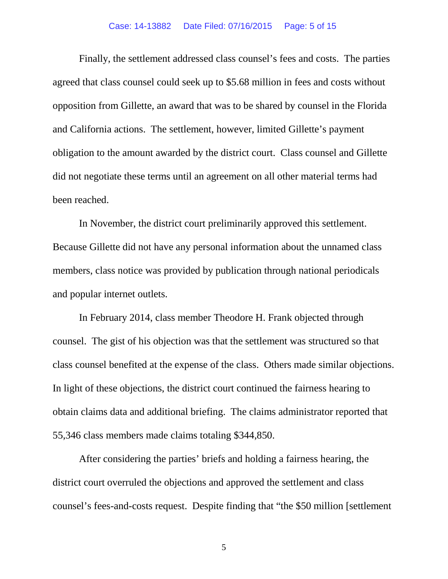#### Case: 14-13882 Date Filed: 07/16/2015 Page: 5 of 15

Finally, the settlement addressed class counsel's fees and costs. The parties agreed that class counsel could seek up to \$5.68 million in fees and costs without opposition from Gillette, an award that was to be shared by counsel in the Florida and California actions. The settlement, however, limited Gillette's payment obligation to the amount awarded by the district court. Class counsel and Gillette did not negotiate these terms until an agreement on all other material terms had been reached.

In November, the district court preliminarily approved this settlement. Because Gillette did not have any personal information about the unnamed class members, class notice was provided by publication through national periodicals and popular internet outlets.

In February 2014, class member Theodore H. Frank objected through counsel. The gist of his objection was that the settlement was structured so that class counsel benefited at the expense of the class. Others made similar objections. In light of these objections, the district court continued the fairness hearing to obtain claims data and additional briefing. The claims administrator reported that 55,346 class members made claims totaling \$344,850.

After considering the parties' briefs and holding a fairness hearing, the district court overruled the objections and approved the settlement and class counsel's fees-and-costs request. Despite finding that "the \$50 million [settlement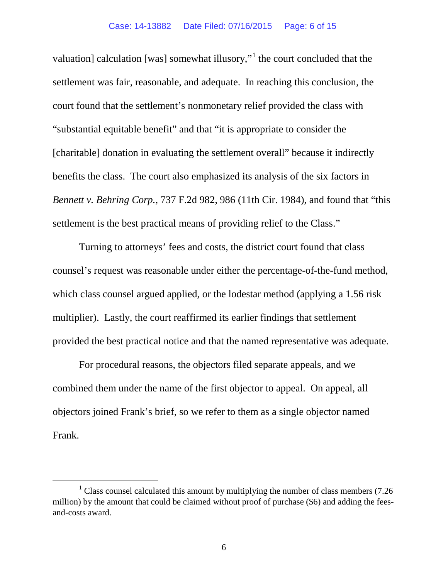valuation] calculation [was] somewhat illusory,"<sup>[1](#page-5-0)</sup> the court concluded that the settlement was fair, reasonable, and adequate. In reaching this conclusion, the court found that the settlement's nonmonetary relief provided the class with "substantial equitable benefit" and that "it is appropriate to consider the [charitable] donation in evaluating the settlement overall" because it indirectly benefits the class. The court also emphasized its analysis of the six factors in *Bennett v. Behring Corp.*, 737 F.2d 982, 986 (11th Cir. 1984), and found that "this settlement is the best practical means of providing relief to the Class."

Turning to attorneys' fees and costs, the district court found that class counsel's request was reasonable under either the percentage-of-the-fund method, which class counsel argued applied, or the lodestar method (applying a 1.56 risk multiplier). Lastly, the court reaffirmed its earlier findings that settlement provided the best practical notice and that the named representative was adequate.

For procedural reasons, the objectors filed separate appeals, and we combined them under the name of the first objector to appeal. On appeal, all objectors joined Frank's brief, so we refer to them as a single objector named Frank.

<span id="page-5-0"></span> $1$  Class counsel calculated this amount by multiplying the number of class members (7.26) million) by the amount that could be claimed without proof of purchase (\$6) and adding the feesand-costs award.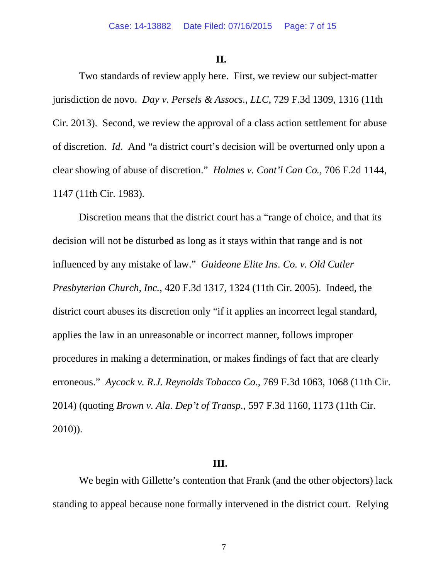### **II.**

Two standards of review apply here. First, we review our subject-matter jurisdiction de novo. *Day v. Persels & Assocs.*, *LLC*, 729 F.3d 1309, 1316 (11th Cir. 2013). Second, we review the approval of a class action settlement for abuse of discretion. *Id.* And "a district court's decision will be overturned only upon a clear showing of abuse of discretion." *Holmes v. Cont'l Can Co.*, 706 F.2d 1144, 1147 (11th Cir. 1983).

Discretion means that the district court has a "range of choice, and that its decision will not be disturbed as long as it stays within that range and is not influenced by any mistake of law." *Guideone Elite Ins. Co. v. Old Cutler Presbyterian Church, Inc.*, 420 F.3d 1317, 1324 (11th Cir. 2005). Indeed, the district court abuses its discretion only "if it applies an incorrect legal standard, applies the law in an unreasonable or incorrect manner, follows improper procedures in making a determination, or makes findings of fact that are clearly erroneous." *Aycock v. R.J. Reynolds Tobacco Co.*, 769 F.3d 1063, 1068 (11th Cir. 2014) (quoting *Brown v. Ala. Dep't of Transp.*, 597 F.3d 1160, 1173 (11th Cir. 2010)).

## **III.**

We begin with Gillette's contention that Frank (and the other objectors) lack standing to appeal because none formally intervened in the district court. Relying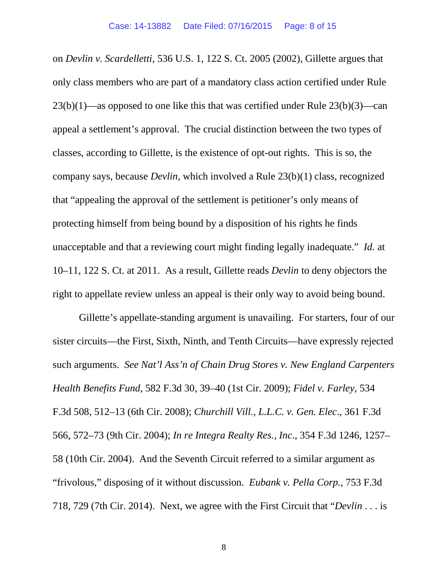on *Devlin v. Scardelletti*, 536 U.S. 1, 122 S. Ct. 2005 (2002), Gillette argues that only class members who are part of a mandatory class action certified under Rule 23(b)(1)—as opposed to one like this that was certified under Rule 23(b)(3)—can appeal a settlement's approval. The crucial distinction between the two types of classes, according to Gillette, is the existence of opt-out rights. This is so, the company says, because *Devlin*, which involved a Rule 23(b)(1) class, recognized that "appealing the approval of the settlement is petitioner's only means of protecting himself from being bound by a disposition of his rights he finds unacceptable and that a reviewing court might finding legally inadequate." *Id.* at 10–11, 122 S. Ct. at 2011. As a result, Gillette reads *Devlin* to deny objectors the right to appellate review unless an appeal is their only way to avoid being bound.

Gillette's appellate-standing argument is unavailing. For starters, four of our sister circuits—the First, Sixth, Ninth, and Tenth Circuits—have expressly rejected such arguments. *See Nat'l Ass'n of Chain Drug Stores v. New England Carpenters Health Benefits Fund*, 582 F.3d 30, 39–40 (1st Cir. 2009); *Fidel v. Farley*, 534 F.3d 508, 512–13 (6th Cir. 2008); *Churchill Vill., L.L.C. v. Gen. Elec*., 361 F.3d 566, 572–73 (9th Cir. 2004); *In re Integra Realty Res., Inc*., 354 F.3d 1246, 1257– 58 (10th Cir. 2004). And the Seventh Circuit referred to a similar argument as "frivolous," disposing of it without discussion. *Eubank v. Pella Corp.*, 753 F.3d 718, 729 (7th Cir. 2014). Next, we agree with the First Circuit that "*Devlin* . . . is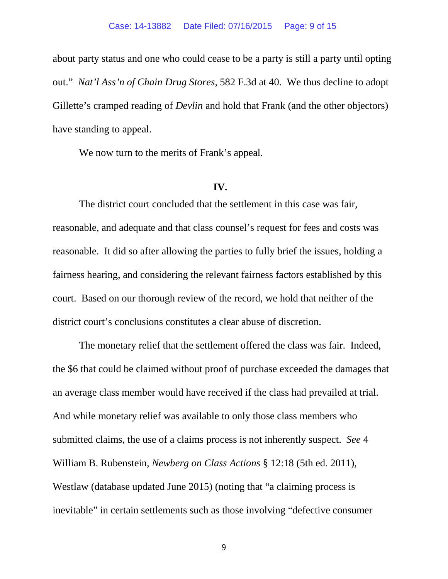about party status and one who could cease to be a party is still a party until opting out." *Nat'l Ass'n of Chain Drug Stores*, 582 F.3d at 40. We thus decline to adopt Gillette's cramped reading of *Devlin* and hold that Frank (and the other objectors) have standing to appeal.

We now turn to the merits of Frank's appeal.

### **IV.**

The district court concluded that the settlement in this case was fair, reasonable, and adequate and that class counsel's request for fees and costs was reasonable. It did so after allowing the parties to fully brief the issues, holding a fairness hearing, and considering the relevant fairness factors established by this court. Based on our thorough review of the record, we hold that neither of the district court's conclusions constitutes a clear abuse of discretion.

The monetary relief that the settlement offered the class was fair. Indeed, the \$6 that could be claimed without proof of purchase exceeded the damages that an average class member would have received if the class had prevailed at trial. And while monetary relief was available to only those class members who submitted claims, the use of a claims process is not inherently suspect. *See* 4 William B. Rubenstein, *Newberg on Class Actions* § 12:18 (5th ed. 2011), Westlaw (database updated June 2015) (noting that "a claiming process is inevitable" in certain settlements such as those involving "defective consumer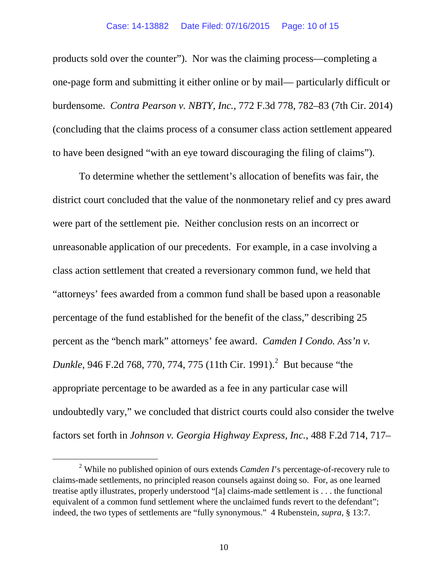products sold over the counter"). Nor was the claiming process—completing a one-page form and submitting it either online or by mail— particularly difficult or burdensome. *Contra Pearson v. NBTY, Inc.*, 772 F.3d 778, 782–83 (7th Cir. 2014) (concluding that the claims process of a consumer class action settlement appeared to have been designed "with an eye toward discouraging the filing of claims").

To determine whether the settlement's allocation of benefits was fair, the district court concluded that the value of the nonmonetary relief and cy pres award were part of the settlement pie. Neither conclusion rests on an incorrect or unreasonable application of our precedents. For example, in a case involving a class action settlement that created a reversionary common fund, we held that "attorneys' fees awarded from a common fund shall be based upon a reasonable percentage of the fund established for the benefit of the class," describing 25 percent as the "bench mark" attorneys' fee award. *Camden I Condo. Ass'n v. Dunkle*, 946 F.[2](#page-9-0)d 768, 770, 774, 775 (11th Cir. 1991).<sup>2</sup> But because "the appropriate percentage to be awarded as a fee in any particular case will undoubtedly vary," we concluded that district courts could also consider the twelve factors set forth in *Johnson v. Georgia Highway Express, Inc.*, 488 F.2d 714, 717–

<span id="page-9-0"></span> <sup>2</sup> While no published opinion of ours extends *Camden I*'s percentage-of-recovery rule to claims-made settlements, no principled reason counsels against doing so. For, as one learned treatise aptly illustrates, properly understood "[a] claims-made settlement is . . . the functional equivalent of a common fund settlement where the unclaimed funds revert to the defendant"; indeed, the two types of settlements are "fully synonymous." 4 Rubenstein, *supra*, § 13:7.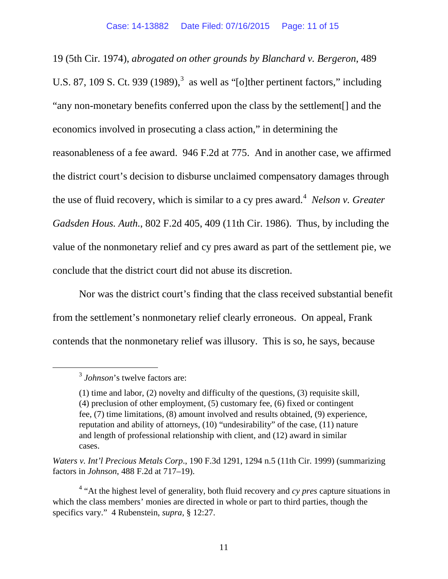19 (5th Cir. 1974), *abrogated on other grounds by Blanchard v. Bergeron*, 489 U.S. 87, 109 S. Ct. 9[3](#page-10-0)9  $(1989)$ ,  $3$  as well as "[o]ther pertinent factors," including "any non-monetary benefits conferred upon the class by the settlement[] and the economics involved in prosecuting a class action," in determining the reasonableness of a fee award. 946 F.2d at 775. And in another case, we affirmed the district court's decision to disburse unclaimed compensatory damages through the use of fluid recovery, which is similar to a cy pres award.<sup>[4](#page-10-1)</sup> *Nelson v. Greater Gadsden Hous. Auth.*, 802 F.2d 405, 409 (11th Cir. 1986). Thus, by including the value of the nonmonetary relief and cy pres award as part of the settlement pie, we conclude that the district court did not abuse its discretion.

Nor was the district court's finding that the class received substantial benefit from the settlement's nonmonetary relief clearly erroneous. On appeal, Frank contends that the nonmonetary relief was illusory. This is so, he says, because

<span id="page-10-0"></span> <sup>3</sup> *Johnson*'s twelve factors are:

<sup>(1)</sup> time and labor, (2) novelty and difficulty of the questions, (3) requisite skill, (4) preclusion of other employment, (5) customary fee, (6) fixed or contingent fee, (7) time limitations, (8) amount involved and results obtained, (9) experience, reputation and ability of attorneys, (10) "undesirability" of the case, (11) nature and length of professional relationship with client, and (12) award in similar cases.

*Waters v. Int'l Precious Metals Corp*., 190 F.3d 1291, 1294 n.5 (11th Cir. 1999) (summarizing factors in *Johnson*, 488 F.2d at 717–19).

<span id="page-10-1"></span><sup>4</sup> "At the highest level of generality, both fluid recovery and *cy pres* capture situations in which the class members' monies are directed in whole or part to third parties, though the specifics vary." 4 Rubenstein, *supra*, § 12:27.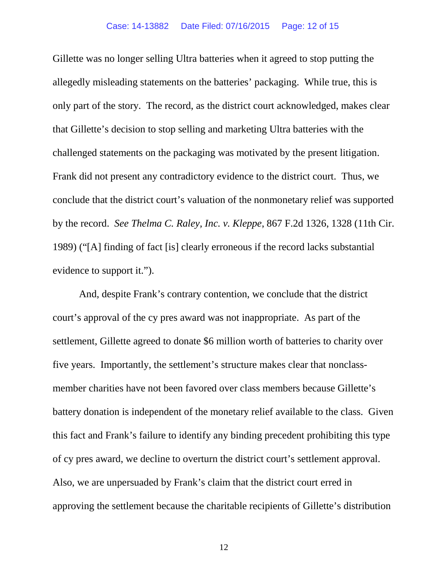Gillette was no longer selling Ultra batteries when it agreed to stop putting the allegedly misleading statements on the batteries' packaging. While true, this is only part of the story. The record, as the district court acknowledged, makes clear that Gillette's decision to stop selling and marketing Ultra batteries with the challenged statements on the packaging was motivated by the present litigation. Frank did not present any contradictory evidence to the district court. Thus, we conclude that the district court's valuation of the nonmonetary relief was supported by the record. *See Thelma C. Raley, Inc. v. Kleppe*, 867 F.2d 1326, 1328 (11th Cir. 1989) ("[A] finding of fact [is] clearly erroneous if the record lacks substantial evidence to support it.").

And, despite Frank's contrary contention, we conclude that the district court's approval of the cy pres award was not inappropriate. As part of the settlement, Gillette agreed to donate \$6 million worth of batteries to charity over five years. Importantly, the settlement's structure makes clear that nonclassmember charities have not been favored over class members because Gillette's battery donation is independent of the monetary relief available to the class. Given this fact and Frank's failure to identify any binding precedent prohibiting this type of cy pres award, we decline to overturn the district court's settlement approval. Also, we are unpersuaded by Frank's claim that the district court erred in approving the settlement because the charitable recipients of Gillette's distribution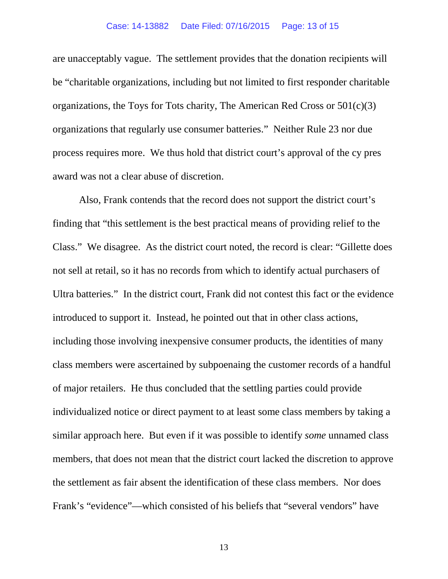#### Case: 14-13882 Date Filed: 07/16/2015 Page: 13 of 15

are unacceptably vague. The settlement provides that the donation recipients will be "charitable organizations, including but not limited to first responder charitable organizations, the Toys for Tots charity, The American Red Cross or  $501(c)(3)$ organizations that regularly use consumer batteries." Neither Rule 23 nor due process requires more. We thus hold that district court's approval of the cy pres award was not a clear abuse of discretion.

Also, Frank contends that the record does not support the district court's finding that "this settlement is the best practical means of providing relief to the Class." We disagree. As the district court noted, the record is clear: "Gillette does not sell at retail, so it has no records from which to identify actual purchasers of Ultra batteries." In the district court, Frank did not contest this fact or the evidence introduced to support it. Instead, he pointed out that in other class actions, including those involving inexpensive consumer products, the identities of many class members were ascertained by subpoenaing the customer records of a handful of major retailers. He thus concluded that the settling parties could provide individualized notice or direct payment to at least some class members by taking a similar approach here. But even if it was possible to identify *some* unnamed class members, that does not mean that the district court lacked the discretion to approve the settlement as fair absent the identification of these class members. Nor does Frank's "evidence"—which consisted of his beliefs that "several vendors" have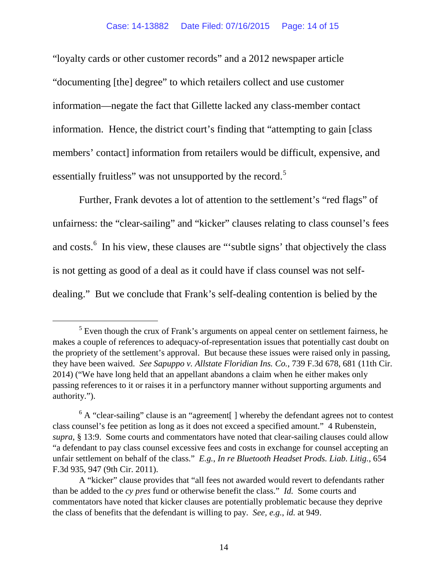#### Case: 14-13882 Date Filed: 07/16/2015 Page: 14 of 15

"loyalty cards or other customer records" and a 2012 newspaper article "documenting [the] degree" to which retailers collect and use customer information—negate the fact that Gillette lacked any class-member contact information. Hence, the district court's finding that "attempting to gain [class members' contact] information from retailers would be difficult, expensive, and essentially fruitless" was not unsupported by the record.<sup>[5](#page-13-0)</sup>

Further, Frank devotes a lot of attention to the settlement's "red flags" of unfairness: the "clear-sailing" and "kicker" clauses relating to class counsel's fees and costs. $<sup>6</sup>$  $<sup>6</sup>$  $<sup>6</sup>$  In his view, these clauses are "subtle signs' that objectively the class</sup> is not getting as good of a deal as it could have if class counsel was not selfdealing." But we conclude that Frank's self-dealing contention is belied by the

<span id="page-13-0"></span> $<sup>5</sup>$  Even though the crux of Frank's arguments on appeal center on settlement fairness, he</sup> makes a couple of references to adequacy-of-representation issues that potentially cast doubt on the propriety of the settlement's approval. But because these issues were raised only in passing, they have been waived. *See Sapuppo v. Allstate Floridian Ins. Co.*, 739 F.3d 678, 681 (11th Cir. 2014) ("We have long held that an appellant abandons a claim when he either makes only passing references to it or raises it in a perfunctory manner without supporting arguments and authority.").

<span id="page-13-1"></span> $6$  A "clear-sailing" clause is an "agreement. I whereby the defendant agrees not to contest class counsel's fee petition as long as it does not exceed a specified amount." 4 Rubenstein, *supra*, § 13:9. Some courts and commentators have noted that clear-sailing clauses could allow "a defendant to pay class counsel excessive fees and costs in exchange for counsel accepting an unfair settlement on behalf of the class." *E.g.*, *In re Bluetooth Headset Prods. Liab. Litig.*, 654 F.3d 935, 947 (9th Cir. 2011).

A "kicker" clause provides that "all fees not awarded would revert to defendants rather than be added to the *cy pres* fund or otherwise benefit the class." *Id.* Some courts and commentators have noted that kicker clauses are potentially problematic because they deprive the class of benefits that the defendant is willing to pay. *See, e.g.*, *id.* at 949.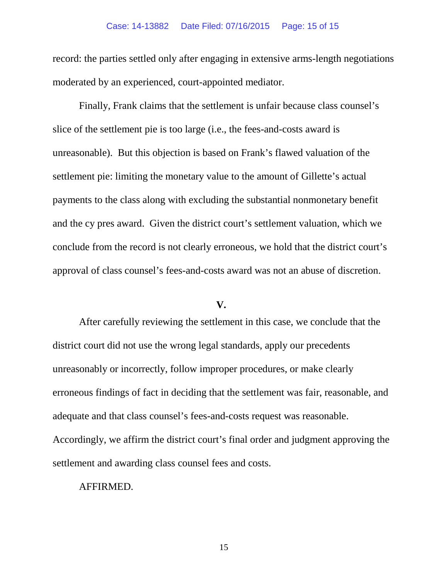#### Case: 14-13882 Date Filed: 07/16/2015 Page: 15 of 15

record: the parties settled only after engaging in extensive arms-length negotiations moderated by an experienced, court-appointed mediator.

Finally, Frank claims that the settlement is unfair because class counsel's slice of the settlement pie is too large (i.e., the fees-and-costs award is unreasonable). But this objection is based on Frank's flawed valuation of the settlement pie: limiting the monetary value to the amount of Gillette's actual payments to the class along with excluding the substantial nonmonetary benefit and the cy pres award. Given the district court's settlement valuation, which we conclude from the record is not clearly erroneous, we hold that the district court's approval of class counsel's fees-and-costs award was not an abuse of discretion.

## **V.**

After carefully reviewing the settlement in this case, we conclude that the district court did not use the wrong legal standards, apply our precedents unreasonably or incorrectly, follow improper procedures, or make clearly erroneous findings of fact in deciding that the settlement was fair, reasonable, and adequate and that class counsel's fees-and-costs request was reasonable. Accordingly, we affirm the district court's final order and judgment approving the settlement and awarding class counsel fees and costs.

## AFFIRMED.